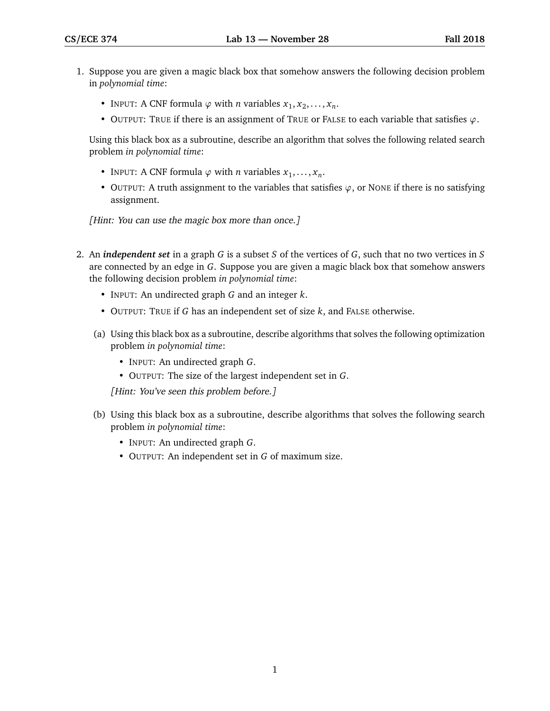- 1. Suppose you are given a magic black box that somehow answers the following decision problem in *polynomial time*:
	- INPUT: A CNF formula  $\varphi$  with *n* variables  $x_1, x_2, \ldots, x_n$ .
	- OUTPUT: TRUE if there is an assignment of TRUE or FALSE to each variable that satisfies *ϕ*.

Using this black box as a subroutine, describe an algorithm that solves the following related search problem *in polynomial time*:

- INPUT: A CNF formula  $\varphi$  with *n* variables  $x_1, \ldots, x_n$ .
- OUTPUT: A truth assignment to the variables that satisfies  $\varphi$ , or NONE if there is no satisfying assignment.

[Hint: You can use the magic box more than once.]

- 2. An *independent set* in a graph *G* is a subset *S* of the vertices of *G*, such that no two vertices in *S* are connected by an edge in *G*. Suppose you are given a magic black box that somehow answers the following decision problem *in polynomial time*:
	- INPUT: An undirected graph *G* and an integer *k*.
	- OUTPUT: TRUE if *G* has an independent set of size *k*, and FALSE otherwise.
	- (a) Using this black box as a subroutine, describe algorithms that solves the following optimization problem *in polynomial time*:
		- INPUT: An undirected graph *G*.
		- OUTPUT: The size of the largest independent set in *G*.

[Hint: You've seen this problem before.]

- (b) Using this black box as a subroutine, describe algorithms that solves the following search problem *in polynomial time*:
	- INPUT: An undirected graph *G*.
	- OUTPUT: An independent set in *G* of maximum size.